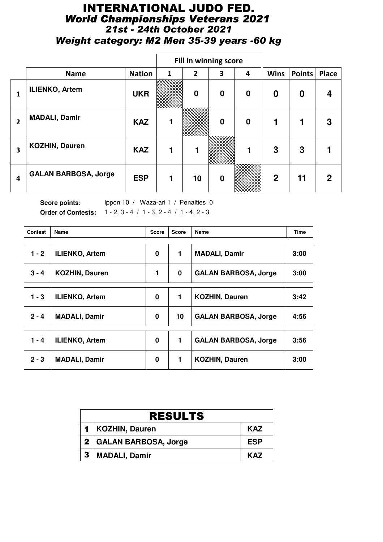# INTERNATIONAL JUDO FED. *World Championships Veterans 2021 21st - 24th October 2021 Weight category: M2 Men 35-39 years -60 kg*

|              |                             |               | Fill in winning score |                |             |          |             |        |       |
|--------------|-----------------------------|---------------|-----------------------|----------------|-------------|----------|-------------|--------|-------|
|              | <b>Name</b>                 | <b>Nation</b> | 1                     | $\overline{2}$ | 3           | 4        | <b>Wins</b> | Points | Place |
| 1            | <b>ILIENKO, Artem</b>       | <b>UKR</b>    |                       | $\mathbf 0$    | $\bf{0}$    | $\bf{0}$ | 0           | 0      |       |
| $\mathbf{2}$ | <b>MADALI, Damir</b>        | <b>KAZ</b>    |                       |                | $\bf{0}$    | $\bf{0}$ |             |        | 3     |
| 3            | <b>KOZHIN, Dauren</b>       | <b>KAZ</b>    |                       | 1              |             |          | 3           | 3      |       |
| 4            | <b>GALAN BARBOSA, Jorge</b> | <b>ESP</b>    | 1                     | 10             | $\mathbf 0$ |          | $\mathbf 2$ | 11     | 2     |

Score points: Ippon 10 / Waza-ari 1 / Penalties 0 **Order of Contests:** 1 - 2, 3 - 4 / 1 - 3, 2 - 4 / 1 - 4, 2 - 3

| <b>Contest</b> | Name                  | <b>Score</b> | <b>Score</b> | Name                        | <b>Time</b> |
|----------------|-----------------------|--------------|--------------|-----------------------------|-------------|
| $1 - 2$        | <b>ILIENKO, Artem</b> | 0            | 1            | <b>MADALI, Damir</b>        | 3:00        |
|                |                       |              |              |                             |             |
| $3 - 4$        | <b>KOZHIN, Dauren</b> | 1            | 0            | <b>GALAN BARBOSA, Jorge</b> | 3:00        |
| $1 - 3$        | <b>ILIENKO, Artem</b> | 0            | 1            | <b>KOZHIN, Dauren</b>       | 3:42        |
|                |                       |              |              |                             |             |
| $2 - 4$        | <b>MADALI, Damir</b>  | 0            | 10           | <b>GALAN BARBOSA, Jorge</b> | 4:56        |
| $1 - 4$        | <b>ILIENKO, Artem</b> | $\bf{0}$     | 1            | <b>GALAN BARBOSA, Jorge</b> | 3:56        |
|                |                       |              |              |                             |             |
| $2 - 3$        | <b>MADALI, Damir</b>  | 0            | 1            | <b>KOZHIN, Dauren</b>       | 3:00        |

|   | <b>RESULTS</b>         |            |
|---|------------------------|------------|
|   | 1   KOZHIN, Dauren     | <b>KAZ</b> |
|   | 2 GALAN BARBOSA, Jorge | <b>ESP</b> |
| 3 | <b>MADALI, Damir</b>   | KA7        |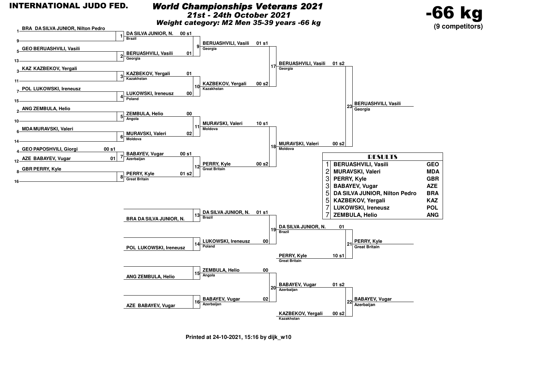### *World Championships Veterans 2021*

*21st - 24th October 2021*

*Weight category: M2 Men 35-39 years -66 kg*



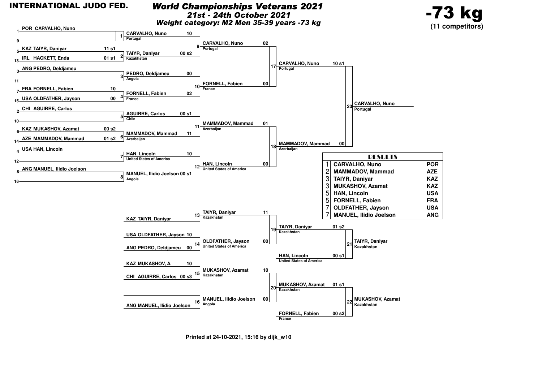### *World Championships Veterans 2021*

*21st - 24th October 2021*

*Weight category: M2 Men 35-39 years -73 kg*



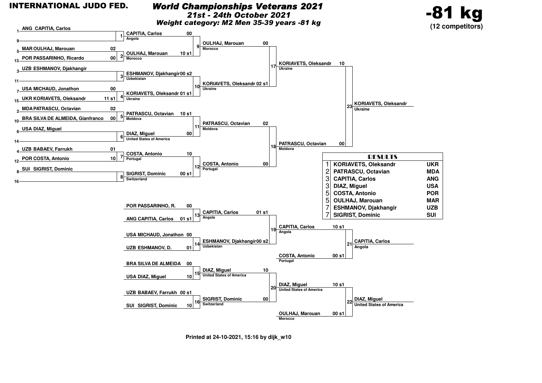### *World Championships Veterans 2021*

*21st - 24th October 2021*

*Weight category: M2 Men 35-39 years -81 kg*



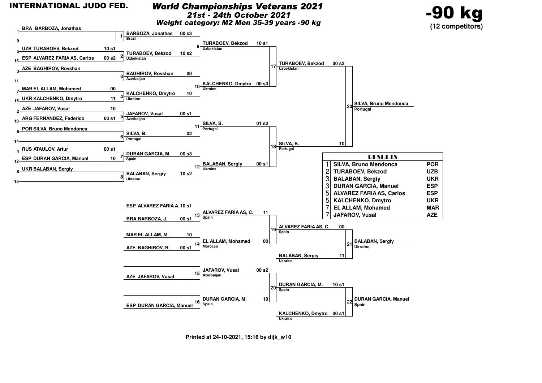### *World Championships Veterans 2021*

*21st - 24th October 2021*

*Weight category: M2 Men 35-39 years -90 kg*



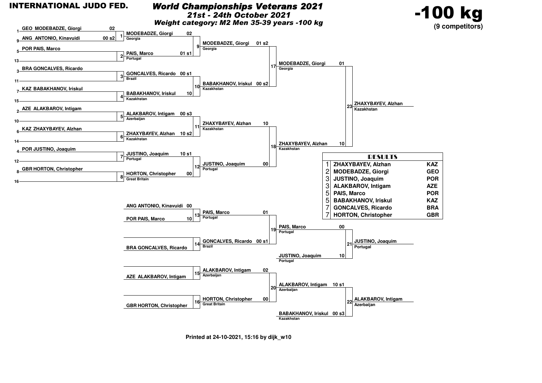**13**

**11**

**15**

**10**

**14**

**412**

**16**

### *World Championships Veterans 2021*

*21st - 24th October 2021*

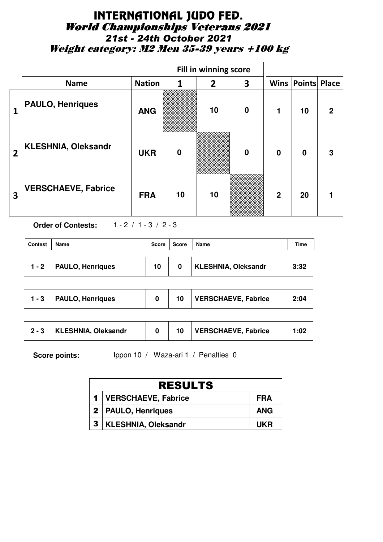# INTERNATIONAL JUDO FED. World Championships Veterans 2021 *21st - 24th October 2021* Weight category: M2 Men 35-39 years +100 kg

|                         |                            |               |          | Fill in winning score |          |                |                          |              |
|-------------------------|----------------------------|---------------|----------|-----------------------|----------|----------------|--------------------------|--------------|
|                         | <b>Name</b>                | <b>Nation</b> | 1        | $\overline{2}$        | 3        |                | <b>Wins Points Place</b> |              |
| 1                       | <b>PAULO, Henriques</b>    | <b>ANG</b>    |          | 10                    | $\bf{0}$ | 1              | 10                       | $\mathbf{2}$ |
| $\overline{2}$          | <b>KLESHNIA, Oleksandr</b> | <b>UKR</b>    | $\bf{0}$ |                       | $\bf{0}$ | $\bf{0}$       | $\mathbf 0$              | 3            |
| $\overline{\mathbf{3}}$ | <b>VERSCHAEVE, Fabrice</b> | <b>FRA</b>    | 10       | 10                    |          | $\overline{2}$ | 20                       |              |

**Order of Contests:** 1 - 2 / 1 - 3 / 2 - 3

| <b>Contest</b> | Name                    | Score | Score | Name                       | Time |
|----------------|-------------------------|-------|-------|----------------------------|------|
| $1 - 2$        | <b>PAULO, Henriques</b> | 10    |       | <b>KLESHNIA, Oleksandr</b> | 3:32 |

| <b>VERSCHAEVE, Fabrice</b><br><b>PAULO, Henriques</b><br>$1 - 3$ $\pm$ | 2:04 |
|------------------------------------------------------------------------|------|
|------------------------------------------------------------------------|------|

| <b>VERSCHAEVE, Fabrice</b><br><b>KLESHNIA, Oleksandr</b> | 1:02 |
|----------------------------------------------------------|------|
|----------------------------------------------------------|------|

|              | <b>RESULTS</b>             |            |
|--------------|----------------------------|------------|
|              | 1   VERSCHAEVE, Fabrice    | <b>FRA</b> |
|              | 2   PAULO, Henriques       | <b>ANG</b> |
| $\mathbf{3}$ | <b>KLESHNIA, Oleksandr</b> | UKR        |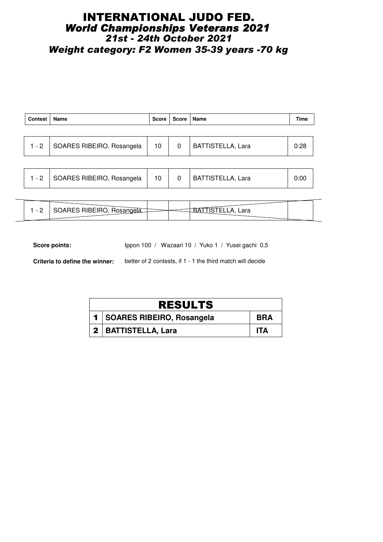## INTERNATIONAL JUDO FED. *World Championships Veterans 2021 21st - 24th October 2021 Weight category: F2 Women 35-39 years -70 kg*

| <b>Contest</b> | Name                              | Score | Score   Name |                          | <b>Time</b> |
|----------------|-----------------------------------|-------|--------------|--------------------------|-------------|
|                |                                   |       |              |                          |             |
|                | 1 - 2   SOARES RIBEIRO, Rosangela | 10    | 0            | <b>BATTISTELLA, Lara</b> | 0:28        |
|                |                                   |       |              |                          |             |

|--|

| $\sim$<br>- | $    -$<br>יזשום אינ | ∟ara |  |
|-------------|----------------------|------|--|
|             |                      |      |  |

Score points: Ippon 100 / Wazaari 10 / Yuko 1 / Yusei gachi 0,5

**Criteria to define the winner:** better of 2 contests, if 1 - 1 the third match will decide

| <b>RESULTS</b>              |            |
|-----------------------------|------------|
| 1 SOARES RIBEIRO, Rosangela | <b>BRA</b> |
| 2   BATTISTELLA, Lara       | ITA        |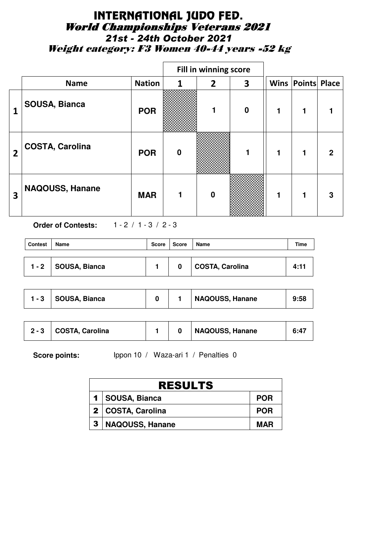# INTERNATIONAL JUDO FED. World Championships Veterans 2021 *21st - 24th October 2021* Weight category: F3 Women 40-44 years -52 kg

|                |                        |               |                  | Fill in winning score |          |   |                          |             |
|----------------|------------------------|---------------|------------------|-----------------------|----------|---|--------------------------|-------------|
|                | <b>Name</b>            | <b>Nation</b> | 1                | 2                     | 3        |   | <b>Wins Points Place</b> |             |
| 1              | <b>SOUSA, Bianca</b>   | <b>POR</b>    |                  | 1                     | $\bf{0}$ | 1 | 1                        |             |
| $\overline{2}$ | <b>COSTA, Carolina</b> | <b>POR</b>    | $\boldsymbol{0}$ |                       | 1        | 1 |                          | $\mathbf 2$ |
| 3              | NAQOUSS, Hanane        | <b>MAR</b>    |                  | $\bf{0}$              |          | 1 |                          | 3           |

**Order of Contests:** 1 - 2 / 1 - 3 / 2 - 3

| <b>Contest</b> | Name                  | Score | <b>Score</b> | Name            | Time |
|----------------|-----------------------|-------|--------------|-----------------|------|
|                | 1 - 2   SOUSA, Bianca |       | 0            | COSTA, Carolina | 4:11 |

| SOUSA, Bianca<br>$1 - 3$ |  |  | <b>NAQOUSS, Hanane</b> | 9:58 |
|--------------------------|--|--|------------------------|------|
|--------------------------|--|--|------------------------|------|

|   | <b>RESULTS</b>    |            |  |  |  |  |
|---|-------------------|------------|--|--|--|--|
|   | 1   SOUSA, Bianca | <b>POR</b> |  |  |  |  |
|   | 2 COSTA, Carolina | <b>POR</b> |  |  |  |  |
| 3 | NAQOUSS, Hanane   | <b>MAR</b> |  |  |  |  |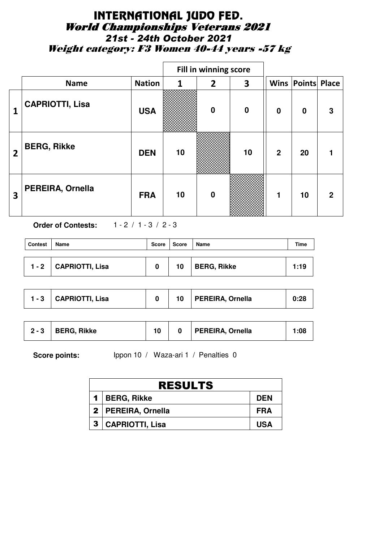# INTERNATIONAL JUDO FED. World Championships Veterans 2021 *21st - 24th October 2021* Weight category: F3 Women 40-44 years -57 kg

|                         |                        |               |    | Fill in winning score |          |                |                      |   |
|-------------------------|------------------------|---------------|----|-----------------------|----------|----------------|----------------------|---|
|                         | <b>Name</b>            | <b>Nation</b> | 1  | $\overline{2}$        | 3        |                | Wins   Points  Place |   |
| 1                       | <b>CAPRIOTTI, Lisa</b> | <b>USA</b>    |    | $\bf{0}$              | $\bf{0}$ | $\mathbf 0$    | $\boldsymbol{0}$     | 3 |
| $\overline{2}$          | <b>BERG, Rikke</b>     | <b>DEN</b>    | 10 |                       | 10       | $\overline{2}$ | 20                   |   |
| $\overline{\mathbf{3}}$ | PEREIRA, Ornella       | <b>FRA</b>    | 10 | $\bf{0}$              |          | 1              | 10                   | 2 |

**Order of Contests:** 1 - 2 / 1 - 3 / 2 - 3

| <b>Contest</b> | Name                    | Score | Score | Name               | Time |
|----------------|-------------------------|-------|-------|--------------------|------|
|                | 1 - 2   CAPRIOTTI, Lisa | 0     | 10    | <b>BERG, Rikke</b> | 1:19 |

| CAPRIOTTI, Lisa<br>$1 - 3$ | 10 <sup>°</sup> | PEREIRA, Ornella | 0:28 |
|----------------------------|-----------------|------------------|------|
|----------------------------|-----------------|------------------|------|

| $2 - 3$ | <b>BERG, Rikke</b> |  |  | PEREIRA, Ornella | 1:08 |
|---------|--------------------|--|--|------------------|------|
|---------|--------------------|--|--|------------------|------|

| <b>RESULTS</b>       |            |  |  |  |  |
|----------------------|------------|--|--|--|--|
| 1   BERG, Rikke      | <b>DEN</b> |  |  |  |  |
| 2   PEREIRA, Ornella | FRA        |  |  |  |  |
| 3   CAPRIOTTI, Lisa  | <b>USA</b> |  |  |  |  |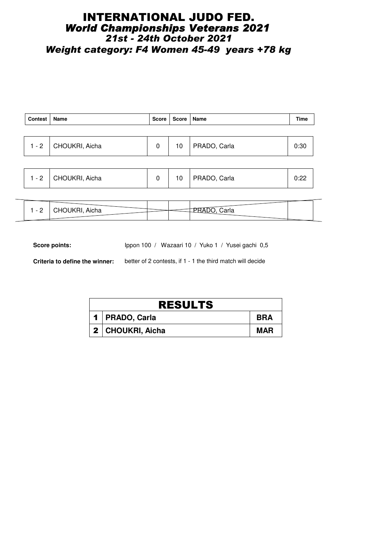## INTERNATIONAL JUDO FED. *World Championships Veterans 2021 21st - 24th October 2021 Weight category: F4 Women 45-49 years +78 kg*

| 0:30 |
|------|
|      |
|      |

|  | - 2 | CHOUKRI, Aicha |  | 10 | PRADO, Carla | $\sim$ $\sim$<br>$\cup$ . $\sim$ |  |
|--|-----|----------------|--|----|--------------|----------------------------------|--|
|--|-----|----------------|--|----|--------------|----------------------------------|--|

| <sup>1</sup> JKRI, Aicha<br>:arla |  |
|-----------------------------------|--|
|                                   |  |
|                                   |  |

Score points: Ippon 100 / Wazaari 10 / Yuko 1 / Yusei gachi 0,5

**Criteria to define the winner:** better of 2 contests, if 1 - 1 the third match will decide

| <b>RESULTS</b>     |            |  |  |  |  |  |
|--------------------|------------|--|--|--|--|--|
| 1   PRADO, Carla   | <b>BRA</b> |  |  |  |  |  |
| 2   CHOUKRI, Aicha | <b>MAR</b> |  |  |  |  |  |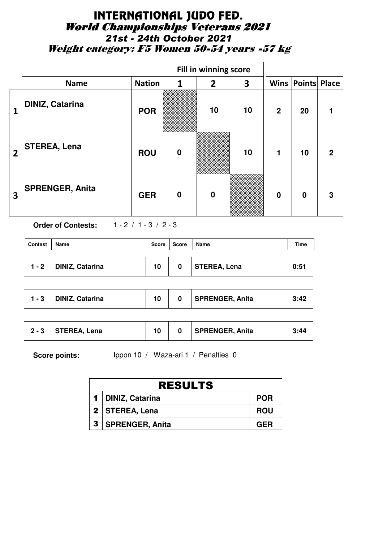# INTERNATIONAL JUDO FED. World Championships Veterans 2021 *21st - 24th October 2021* Weight category: F5 Women 50-54 years -57 kg

|                |                        |               |                  | Fill in winning score |    |                |                          |              |
|----------------|------------------------|---------------|------------------|-----------------------|----|----------------|--------------------------|--------------|
|                | <b>Name</b>            | <b>Nation</b> | $\mathbf{1}$     | $\overline{2}$        | 3  |                | <b>Wins Points Place</b> |              |
| 1              | <b>DINIZ, Catarina</b> | <b>POR</b>    |                  | 10                    | 10 | $\overline{2}$ | 20                       |              |
| $\overline{2}$ | <b>STEREA, Lena</b>    | <b>ROU</b>    | $\boldsymbol{0}$ |                       | 10 | $\mathbf{1}$   | 10                       | $\mathbf{2}$ |
| 3              | <b>SPRENGER, Anita</b> | <b>GER</b>    | $\bf{0}$         | $\bf{0}$              |    | $\mathbf 0$    | $\bf{0}$                 | 3            |

**Order of Contests:** 1 - 2 / 1 - 3 / 2 - 3

| <b>Contest</b> | Name                    | Score | Score | Name         | Time |
|----------------|-------------------------|-------|-------|--------------|------|
|                | 1 - 2   DINIZ, Catarina | 10    | 0     | STEREA, Lena | 0:51 |

| <b>SPRENGER, Anita</b><br><b>DINIZ, Catarina</b><br>- 3 | 3:42 |
|---------------------------------------------------------|------|
|---------------------------------------------------------|------|

| $2 - 3$ | STEREA, Lena |  |  | <b>SPRENGER, Anita</b> | 3:44 |
|---------|--------------|--|--|------------------------|------|
|---------|--------------|--|--|------------------------|------|

|                | <b>RESULTS</b>         |            |  |  |  |  |  |
|----------------|------------------------|------------|--|--|--|--|--|
| $\blacksquare$ | <b>DINIZ, Catarina</b> | <b>POR</b> |  |  |  |  |  |
|                | 2   STEREA, Lena       | <b>ROU</b> |  |  |  |  |  |
| 3              | SPRENGER, Anita        | <b>GER</b> |  |  |  |  |  |